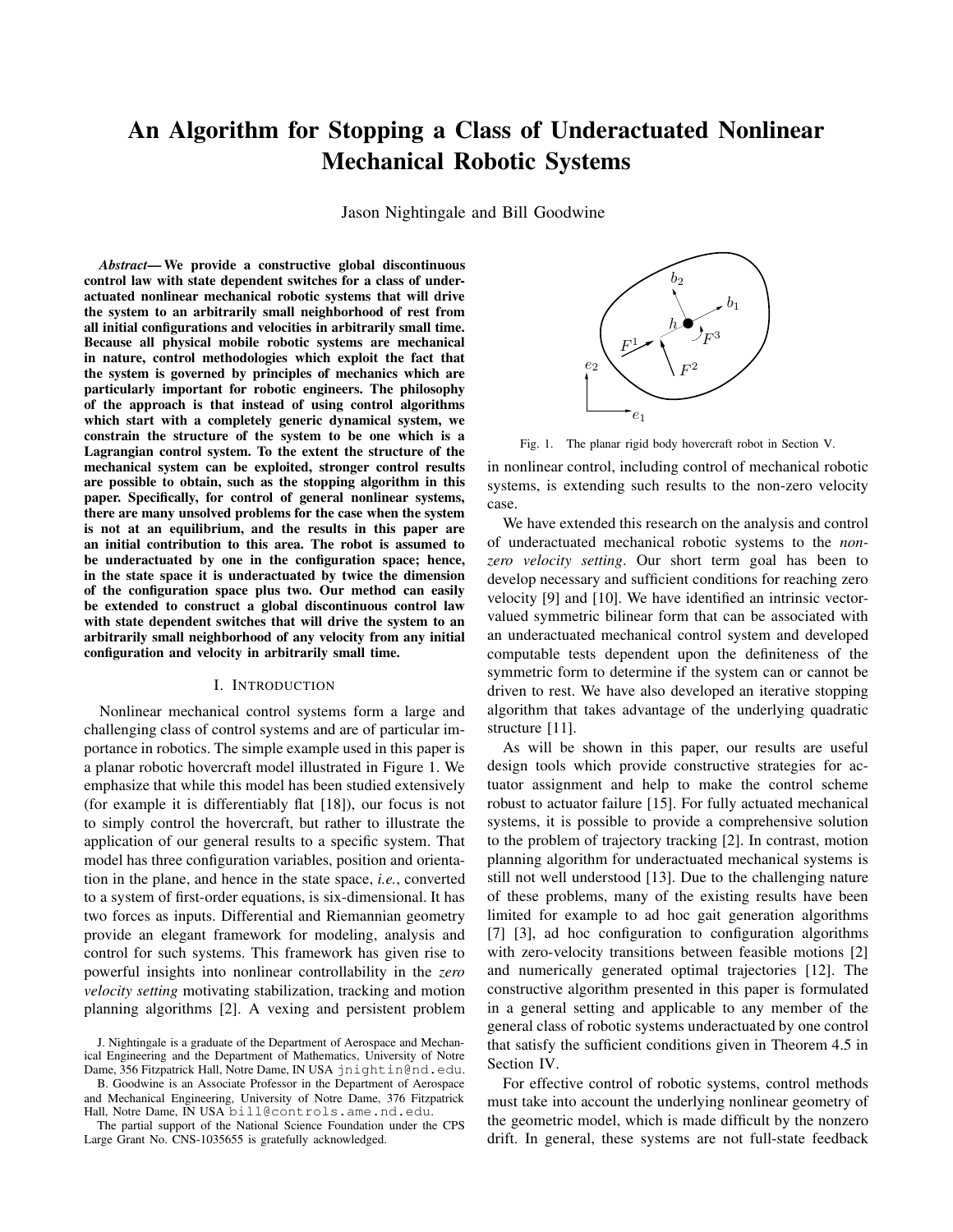# An Algorithm for Stopping a Class of Underactuated Nonlinear Mechanical Robotic Systems

Jason Nightingale and Bill Goodwine

*Abstract*— We provide a constructive global discontinuous control law with state dependent switches for a class of underactuated nonlinear mechanical robotic systems that will drive the system to an arbitrarily small neighborhood of rest from all initial configurations and velocities in arbitrarily small time. Because all physical mobile robotic systems are mechanical in nature, control methodologies which exploit the fact that the system is governed by principles of mechanics which are particularly important for robotic engineers. The philosophy of the approach is that instead of using control algorithms which start with a completely generic dynamical system, we constrain the structure of the system to be one which is a Lagrangian control system. To the extent the structure of the mechanical system can be exploited, stronger control results are possible to obtain, such as the stopping algorithm in this paper. Specifically, for control of general nonlinear systems, there are many unsolved problems for the case when the system is not at an equilibrium, and the results in this paper are an initial contribution to this area. The robot is assumed to be underactuated by one in the configuration space; hence, in the state space it is underactuated by twice the dimension of the configuration space plus two. Our method can easily be extended to construct a global discontinuous control law with state dependent switches that will drive the system to an arbitrarily small neighborhood of any velocity from any initial configuration and velocity in arbitrarily small time.

## I. INTRODUCTION

Nonlinear mechanical control systems form a large and challenging class of control systems and are of particular importance in robotics. The simple example used in this paper is a planar robotic hovercraft model illustrated in Figure 1. We emphasize that while this model has been studied extensively (for example it is differentiably flat [18]), our focus is not to simply control the hovercraft, but rather to illustrate the application of our general results to a specific system. That model has three configuration variables, position and orientation in the plane, and hence in the state space, *i.e.*, converted to a system of first-order equations, is six-dimensional. It has two forces as inputs. Differential and Riemannian geometry provide an elegant framework for modeling, analysis and control for such systems. This framework has given rise to powerful insights into nonlinear controllability in the *zero velocity setting* motivating stabilization, tracking and motion planning algorithms [2]. A vexing and persistent problem



Fig. 1. The planar rigid body hovercraft robot in Section V.

in nonlinear control, including control of mechanical robotic systems, is extending such results to the non-zero velocity case.

We have extended this research on the analysis and control of underactuated mechanical robotic systems to the *nonzero velocity setting*. Our short term goal has been to develop necessary and sufficient conditions for reaching zero velocity [9] and [10]. We have identified an intrinsic vectorvalued symmetric bilinear form that can be associated with an underactuated mechanical control system and developed computable tests dependent upon the definiteness of the symmetric form to determine if the system can or cannot be driven to rest. We have also developed an iterative stopping algorithm that takes advantage of the underlying quadratic structure [11].

As will be shown in this paper, our results are useful design tools which provide constructive strategies for actuator assignment and help to make the control scheme robust to actuator failure [15]. For fully actuated mechanical systems, it is possible to provide a comprehensive solution to the problem of trajectory tracking [2]. In contrast, motion planning algorithm for underactuated mechanical systems is still not well understood [13]. Due to the challenging nature of these problems, many of the existing results have been limited for example to ad hoc gait generation algorithms [7] [3], ad hoc configuration to configuration algorithms with zero-velocity transitions between feasible motions [2] and numerically generated optimal trajectories [12]. The constructive algorithm presented in this paper is formulated in a general setting and applicable to any member of the general class of robotic systems underactuated by one control that satisfy the sufficient conditions given in Theorem 4.5 in Section IV.

For effective control of robotic systems, control methods must take into account the underlying nonlinear geometry of the geometric model, which is made difficult by the nonzero drift. In general, these systems are not full-state feedback

J. Nightingale is a graduate of the Department of Aerospace and Mechanical Engineering and the Department of Mathematics, University of Notre Dame, 356 Fitzpatrick Hall, Notre Dame, IN USA jnightin@nd.edu.

B. Goodwine is an Associate Professor in the Department of Aerospace and Mechanical Engineering, University of Notre Dame, 376 Fitzpatrick Hall, Notre Dame, IN USA bill@controls.ame.nd.edu.

The partial support of the National Science Foundation under the CPS Large Grant No. CNS-1035655 is gratefully acknowledged.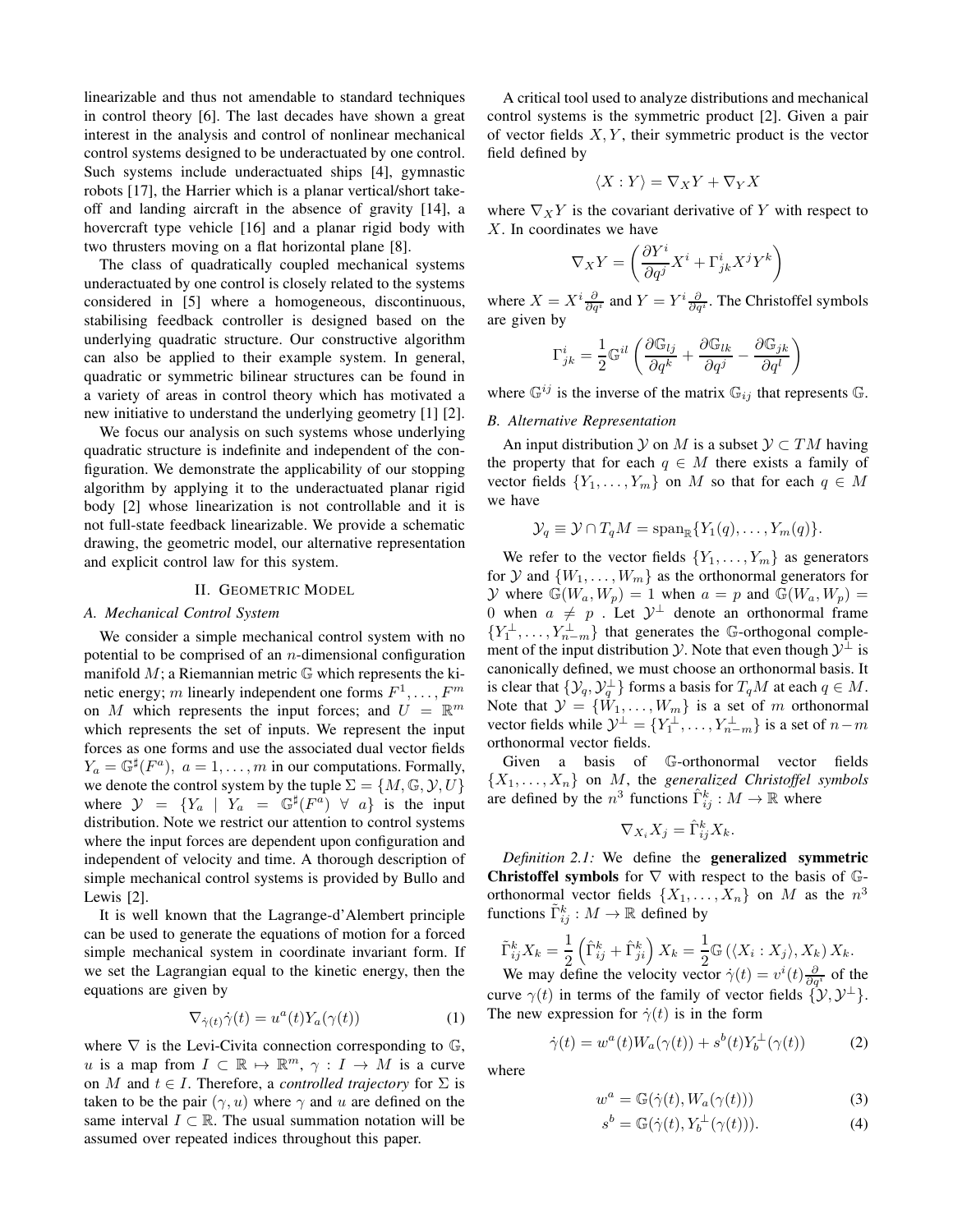linearizable and thus not amendable to standard techniques in control theory [6]. The last decades have shown a great interest in the analysis and control of nonlinear mechanical control systems designed to be underactuated by one control. Such systems include underactuated ships [4], gymnastic robots [17], the Harrier which is a planar vertical/short takeoff and landing aircraft in the absence of gravity [14], a hovercraft type vehicle [16] and a planar rigid body with two thrusters moving on a flat horizontal plane [8].

The class of quadratically coupled mechanical systems underactuated by one control is closely related to the systems considered in [5] where a homogeneous, discontinuous, stabilising feedback controller is designed based on the underlying quadratic structure. Our constructive algorithm can also be applied to their example system. In general, quadratic or symmetric bilinear structures can be found in a variety of areas in control theory which has motivated a new initiative to understand the underlying geometry [1] [2].

We focus our analysis on such systems whose underlying quadratic structure is indefinite and independent of the configuration. We demonstrate the applicability of our stopping algorithm by applying it to the underactuated planar rigid body [2] whose linearization is not controllable and it is not full-state feedback linearizable. We provide a schematic drawing, the geometric model, our alternative representation and explicit control law for this system.

#### II. GEOMETRIC MODEL

# *A. Mechanical Control System*

We consider a simple mechanical control system with no potential to be comprised of an  $n$ -dimensional configuration manifold  $M$ ; a Riemannian metric  $\mathbb G$  which represents the kinetic energy; m linearly independent one forms  $F^1, \ldots, F^m$ on M which represents the input forces; and  $U = \mathbb{R}^m$ which represents the set of inputs. We represent the input forces as one forms and use the associated dual vector fields  $Y_a = \mathbb{G}^{\sharp}(F^a), a = 1, \dots, m$  in our computations. Formally, we denote the control system by the tuple  $\Sigma = \{M, \mathbb{G}, \mathcal{Y}, U\}$ where  $\mathcal{Y} = \{Y_a \mid Y_a = \mathbb{G}^\sharp(F^a) \forall a\}$  is the input distribution. Note we restrict our attention to control systems where the input forces are dependent upon configuration and independent of velocity and time. A thorough description of simple mechanical control systems is provided by Bullo and Lewis [2].

It is well known that the Lagrange-d'Alembert principle can be used to generate the equations of motion for a forced simple mechanical system in coordinate invariant form. If we set the Lagrangian equal to the kinetic energy, then the equations are given by

$$
\nabla_{\dot{\gamma}(t)}\dot{\gamma}(t) = u^a(t)Y_a(\gamma(t))\tag{1}
$$

where  $\nabla$  is the Levi-Civita connection corresponding to  $\mathbb{G}$ , u is a map from  $I \subset \mathbb{R} \mapsto \mathbb{R}^m$ ,  $\gamma : I \to M$  is a curve on M and  $t \in I$ . Therefore, a *controlled trajectory* for  $\Sigma$  is taken to be the pair  $(\gamma, u)$  where  $\gamma$  and u are defined on the same interval  $I \subset \mathbb{R}$ . The usual summation notation will be assumed over repeated indices throughout this paper.

A critical tool used to analyze distributions and mechanical control systems is the symmetric product [2]. Given a pair of vector fields  $X, Y$ , their symmetric product is the vector field defined by

$$
\langle X:Y\rangle=\nabla_XY+\nabla_YX
$$

where  $\nabla_X Y$  is the covariant derivative of Y with respect to X. In coordinates we have

$$
\nabla_X Y = \left(\frac{\partial Y^i}{\partial q^j} X^i + \Gamma^i_{jk} X^j Y^k\right)
$$

where  $X = X^i \frac{\partial}{\partial q^i}$  and  $Y = Y^i \frac{\partial}{\partial q^i}$ . The Christoffel symbols are given by

$$
\Gamma^{i}_{jk} = \frac{1}{2} \mathbb{G}^{il} \left( \frac{\partial \mathbb{G}_{lj}}{\partial q^k} + \frac{\partial \mathbb{G}_{lk}}{\partial q^j} - \frac{\partial \mathbb{G}_{jk}}{\partial q^l} \right)
$$

where  $\mathbb{G}^{ij}$  is the inverse of the matrix  $\mathbb{G}_{ij}$  that represents  $\mathbb{G}$ .

## *B. Alternative Representation*

An input distribution  $Y$  on M is a subset  $Y \subset TM$  having the property that for each  $q \in M$  there exists a family of vector fields  $\{Y_1, \ldots, Y_m\}$  on M so that for each  $q \in M$ we have

$$
\mathcal{Y}_q \equiv \mathcal{Y} \cap T_q M = \mathrm{span}_{\mathbb{R}} \{ Y_1(q), \dots, Y_m(q) \}.
$$

We refer to the vector fields  $\{Y_1, \ldots, Y_m\}$  as generators for  $Y$  and  $\{W_1, \ldots, W_m\}$  as the orthonormal generators for  $\mathcal Y$  where  $\mathbb G(W_a, W_p) = 1$  when  $a = p$  and  $\mathbb G(W_a, W_p) =$ 0 when  $a \neq p$ . Let  $\mathcal{Y}^{\perp}$  denote an orthonormal frame  ${Y_1^{\perp}, \ldots, Y_{n-m}^{\perp}}$  that generates the G-orthogonal complement of the input distribution  $\mathcal{Y}$ . Note that even though  $\mathcal{Y}^{\perp}$  is canonically defined, we must choose an orthonormal basis. It is clear that  $\{\mathcal{Y}_q, \mathcal{Y}_q^{\perp}\}\)$  forms a basis for  $T_qM$  at each  $q \in M$ . Note that  $\mathcal{Y} = \{W_1, \ldots, W_m\}$  is a set of m orthonormal vector fields while  $\mathcal{Y}^{\perp} = \{Y_1^{\perp}, \ldots, Y_{n-m}^{\perp}\}$  is a set of  $n-m$ orthonormal vector fields.

Given a basis of G-orthonormal vector fields  $\{X_1, \ldots, X_n\}$  on M, the *generalized Christoffel symbols* are defined by the  $n^3$  functions  $\hat{\Gamma}_{ij}^k : M \to \mathbb{R}$  where

$$
\nabla_{X_i} X_j = \hat{\Gamma}_{ij}^k X_k.
$$

*Definition 2.1:* We define the generalized symmetric Christoffel symbols for  $\nabla$  with respect to the basis of  $\mathbb{G}$ orthonormal vector fields  $\{X_1, \ldots, X_n\}$  on M as the  $n^3$ functions  $\tilde{\Gamma}_{ij}^k : M \to \mathbb{R}$  defined by

$$
\tilde{\Gamma}_{ij}^k X_k = \frac{1}{2} \left( \hat{\Gamma}_{ij}^k + \hat{\Gamma}_{ji}^k \right) X_k = \frac{1}{2} \mathbb{G} \left( \langle X_i : X_j \rangle, X_k \right) X_k.
$$
  
We may define the velocity vector  $\dot{x}(t) = x^i(t) \partial_t$  of the

We may define the velocity vector  $\dot{\gamma}(t) = v^i(t) \frac{\partial}{\partial q^i}$  of the curve  $\gamma(t)$  in terms of the family of vector fields  $\{\mathcal{Y}, \mathcal{Y}^{\perp}\}.$ The new expression for  $\dot{\gamma}(t)$  is in the form

$$
\dot{\gamma}(t) = w^a(t)W_a(\gamma(t)) + s^b(t)Y_b^{\perp}(\gamma(t))
$$
 (2)

where

$$
w^{a} = \mathbb{G}(\dot{\gamma}(t), W_{a}(\gamma(t))) \tag{3}
$$

$$
s^{b} = \mathbb{G}(\dot{\gamma}(t), Y_{b}^{\perp}(\gamma(t))). \tag{4}
$$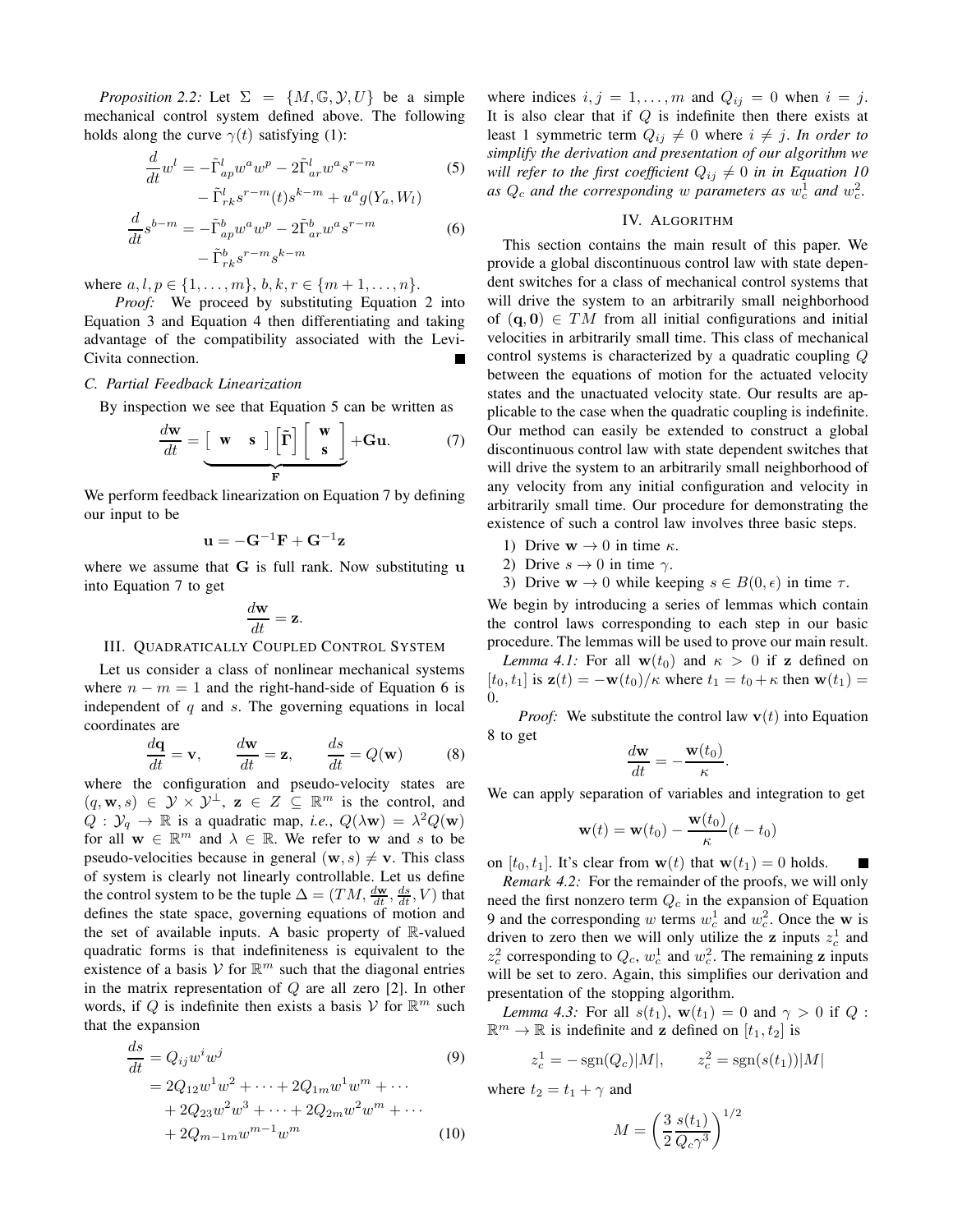*Proposition 2.2:* Let  $\Sigma = \{M, \mathbb{G}, \mathcal{Y}, U\}$  be a simple mechanical control system defined above. The following holds along the curve  $\gamma(t)$  satisfying (1):

$$
\frac{d}{dt}w^l = -\tilde{\Gamma}_{ap}^l w^a w^p - 2\tilde{\Gamma}_{ar}^l w^a s^{r-m}
$$
\n
$$
-\tilde{\Gamma}_{rk}^l s^{r-m}(t) s^{k-m} + u^a g(Y_a, W_l)
$$
\n(5)

$$
\frac{d}{dt}s^{b-m} = -\tilde{\Gamma}_{ap}^{b}w^{a}w^{p} - 2\tilde{\Gamma}_{ar}^{b}w^{a}s^{r-m}
$$
\n
$$
-\tilde{\Gamma}_{rk}^{b}s^{r-m}s^{k-m}
$$
\n(6)

where  $a, l, p \in \{1, \ldots, m\}, b, k, r \in \{m+1, \ldots, n\}.$ 

*Proof:* We proceed by substituting Equation 2 into Equation 3 and Equation 4 then differentiating and taking advantage of the compatibility associated with the Levi-Civita connection.  $\blacksquare$ 

### *C. Partial Feedback Linearization*

By inspection we see that Equation 5 can be written as

$$
\frac{d\mathbf{w}}{dt} = \underbrace{\begin{bmatrix} \mathbf{w} & \mathbf{s} \end{bmatrix} \begin{bmatrix} \tilde{\mathbf{r}} \end{bmatrix} \begin{bmatrix} \mathbf{w} \\ \mathbf{s} \end{bmatrix}}_{\mathbf{F}} + \mathbf{G}\mathbf{u}.
$$
 (7)

We perform feedback linearization on Equation 7 by defining our input to be

$$
\mathbf{u} = -\mathbf{G}^{-1}\mathbf{F} + \mathbf{G}^{-1}\mathbf{z}
$$

where we assume that  $G$  is full rank. Now substituting  $u$ into Equation 7 to get

$$
\frac{d\mathbf{w}}{dt} = \mathbf{z}.
$$

## III. QUADRATICALLY COUPLED CONTROL SYSTEM

Let us consider a class of nonlinear mechanical systems where  $n - m = 1$  and the right-hand-side of Equation 6 is independent of  $q$  and  $s$ . The governing equations in local coordinates are

$$
\frac{d\mathbf{q}}{dt} = \mathbf{v}, \qquad \frac{d\mathbf{w}}{dt} = \mathbf{z}, \qquad \frac{ds}{dt} = Q(\mathbf{w})
$$
(8)

where the configuration and pseudo-velocity states are  $(q, \mathbf{w}, s) \in \mathcal{Y} \times \mathcal{Y}^{\perp}$ ,  $\mathbf{z} \in Z \subseteq \mathbb{R}^m$  is the control, and  $Q: \mathcal{Y}_q \to \mathbb{R}$  is a quadratic map, *i.e.*,  $Q(\lambda \mathbf{w}) = \lambda^2 Q(\mathbf{w})$ for all  $\mathbf{w} \in \mathbb{R}^m$  and  $\lambda \in \mathbb{R}$ . We refer to w and s to be pseudo-velocities because in general  $(\mathbf{w}, s) \neq \mathbf{v}$ . This class of system is clearly not linearly controllable. Let us define the control system to be the tuple  $\Delta = (TM, \frac{dw}{dt}, \frac{ds}{dt}, V)$  that defines the state space, governing equations of motion and the set of available inputs. A basic property of  $\mathbb{R}$ -valued quadratic forms is that indefiniteness is equivalent to the existence of a basis  $V$  for  $\mathbb{R}^m$  such that the diagonal entries in the matrix representation of  $Q$  are all zero  $[2]$ . In other words, if Q is indefinite then exists a basis  $V$  for  $\mathbb{R}^m$  such that the expansion

$$
\frac{ds}{dt} = Q_{ij}w^{i}w^{j}
$$
\n
$$
= 2Q_{12}w^{1}w^{2} + \dots + 2Q_{1m}w^{1}w^{m} + \dots
$$
\n
$$
+ 2Q_{23}w^{2}w^{3} + \dots + 2Q_{2m}w^{2}w^{m} + \dots
$$
\n
$$
+ 2Q_{m-1m}w^{m-1}w^{m}
$$
\n(10)

where indices  $i, j = 1, \ldots, m$  and  $Q_{ij} = 0$  when  $i = j$ . It is also clear that if  $Q$  is indefinite then there exists at least 1 symmetric term  $Q_{ij} \neq 0$  where  $i \neq j$ . *In order to simplify the derivation and presentation of our algorithm we will refer to the first coefficient*  $Q_{ij} \neq 0$  *in in Equation 10* as  $Q_c$  and the corresponding  $w$  parameters as  $w_c^1$  and  $w_c^2$ .

#### IV. ALGORITHM

This section contains the main result of this paper. We provide a global discontinuous control law with state dependent switches for a class of mechanical control systems that will drive the system to an arbitrarily small neighborhood of  $(q, 0) \in TM$  from all initial configurations and initial velocities in arbitrarily small time. This class of mechanical control systems is characterized by a quadratic coupling Q between the equations of motion for the actuated velocity states and the unactuated velocity state. Our results are applicable to the case when the quadratic coupling is indefinite. Our method can easily be extended to construct a global discontinuous control law with state dependent switches that will drive the system to an arbitrarily small neighborhood of any velocity from any initial configuration and velocity in arbitrarily small time. Our procedure for demonstrating the existence of such a control law involves three basic steps.

- 1) Drive  $\mathbf{w} \to 0$  in time  $\kappa$ .
- 2) Drive  $s \to 0$  in time  $\gamma$ .
- 3) Drive  $\mathbf{w} \to 0$  while keeping  $s \in B(0, \epsilon)$  in time  $\tau$ .

We begin by introducing a series of lemmas which contain the control laws corresponding to each step in our basic procedure. The lemmas will be used to prove our main result.

*Lemma 4.1:* For all  $w(t_0)$  and  $\kappa > 0$  if z defined on  $[t_0, t_1]$  is  $\mathbf{z}(t) = -\mathbf{w}(t_0)/\kappa$  where  $t_1 = t_0 + \kappa$  then  $\mathbf{w}(t_1) =$ 0.

*Proof:* We substitute the control law  $v(t)$  into Equation 8 to get

$$
\frac{d\mathbf{w}}{dt}=-\frac{\mathbf{w}(t_0)}{\kappa}.
$$

We can apply separation of variables and integration to get

$$
\mathbf{w}(t) = \mathbf{w}(t_0) - \frac{\mathbf{w}(t_0)}{\kappa}(t - t_0)
$$

on  $[t_0, t_1]$ . It's clear from  $\mathbf{w}(t)$  that  $\mathbf{w}(t_1) = 0$  holds.

*Remark 4.2:* For the remainder of the proofs, we will only need the first nonzero term  $Q_c$  in the expansion of Equation 9 and the corresponding w terms  $w_c^1$  and  $w_c^2$ . Once the w is driven to zero then we will only utilize the z inputs  $z_c^1$  and  $z_c^2$  corresponding to  $Q_c$ ,  $w_c^1$  and  $w_c^2$ . The remaining z inputs will be set to zero. Again, this simplifies our derivation and presentation of the stopping algorithm.

*Lemma 4.3:* For all  $s(t_1)$ ,  $\mathbf{w}(t_1) = 0$  and  $\gamma > 0$  if Q:  $\mathbb{R}^m \to \mathbb{R}$  is indefinite and z defined on  $[t_1, t_2]$  is

$$
z_c^1 = -\text{sgn}(Q_c)|M|,
$$
  $z_c^2 = \text{sgn}(s(t_1))|M|$ 

where  $t_2 = t_1 + \gamma$  and

$$
M = \left(\frac{3}{2} \frac{s(t_1)}{Q_c \gamma^3}\right)^{1/2}
$$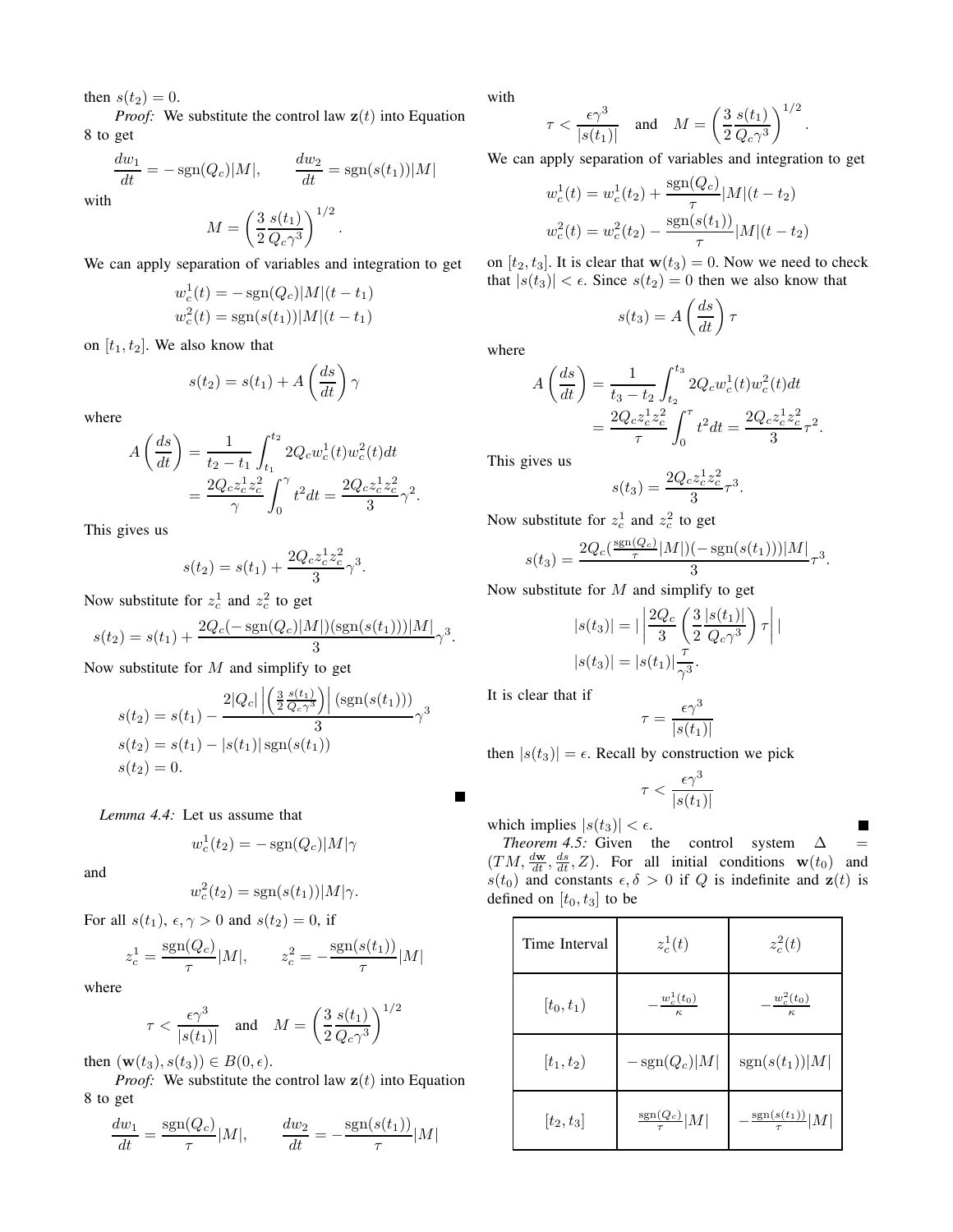then  $s(t_2) = 0$ .

*Proof:* We substitute the control law  $z(t)$  into Equation 8 to get

$$
\frac{dw_1}{dt} = -\operatorname{sgn}(Q_c)|M|, \qquad \frac{dw_2}{dt} = \operatorname{sgn}(s(t_1))|M|
$$

with

$$
M = \left(\frac{3}{2} \frac{s(t_1)}{Q_c \gamma^3}\right)^{1/2}
$$

.

We can apply separation of variables and integration to get

$$
w_c^1(t) = -\operatorname{sgn}(Q_c)|M|(t - t_1)
$$
  

$$
w_c^2(t) = \operatorname{sgn}(s(t_1))|M|(t - t_1)
$$

on  $[t_1, t_2]$ . We also know that

$$
s(t_2) = s(t_1) + A\left(\frac{ds}{dt}\right)\gamma
$$

where

$$
A\left(\frac{ds}{dt}\right) = \frac{1}{t_2 - t_1} \int_{t_1}^{t_2} 2Q_c w_c^1(t) w_c^2(t) dt
$$
  
= 
$$
\frac{2Q_c z_c^1 z_c^2}{\gamma} \int_0^{\gamma} t^2 dt = \frac{2Q_c z_c^1 z_c^2}{3} \gamma^2.
$$

This gives us

$$
s(t_2) = s(t_1) + \frac{2Q_c z_c^1 z_c^2}{3} \gamma^3.
$$

Now substitute for  $z_c^1$  and  $z_c^2$  to get

$$
s(t_2) = s(t_1) + \frac{2Q_c(-\text{sgn}(Q_c)|M|)(\text{sgn}(s(t_1)))|M|}{3}\gamma^3.
$$

Now substitute for  $M$  and simplify to get

$$
s(t_2) = s(t_1) - \frac{2|Q_c| \left| \left( \frac{3}{2} \frac{s(t_1)}{Q_c \gamma^3} \right) \right| \left( \text{sgn}(s(t_1)) \right)}{3} \gamma^3
$$
  
\n
$$
s(t_2) = s(t_1) - |s(t_1)| \text{sgn}(s(t_1))
$$
  
\n
$$
s(t_2) = 0.
$$

*Lemma 4.4:* Let us assume that

$$
w_c^1(t_2) = -\operatorname{sgn}(Q_c)|M|\gamma
$$

and

$$
w_c^2(t_2) = \text{sgn}(s(t_1)) |M|\gamma.
$$

For all  $s(t_1)$ ,  $\epsilon, \gamma > 0$  and  $s(t_2) = 0$ , if

$$
z_c^1 = \frac{\text{sgn}(Q_c)}{\tau} |M|, \qquad z_c^2 = -\frac{\text{sgn}(s(t_1))}{\tau} |M|
$$

where

$$
\tau < \frac{\epsilon \gamma^3}{|s(t_1)|} \quad \text{and} \quad M = \left(\frac{3}{2} \frac{s(t_1)}{Q_c \gamma^3}\right)^{1/2}
$$

then  $(\mathbf{w}(t_3), s(t_3)) \in B(0, \epsilon)$ .

*Proof:* We substitute the control law  $z(t)$  into Equation 8 to get

$$
\frac{dw_1}{dt} = \frac{\text{sgn}(Q_c)}{\tau} |M|, \qquad \frac{dw_2}{dt} = -\frac{\text{sgn}(s(t_1))}{\tau} |M|
$$

with

$$
\tau < \frac{\epsilon \gamma^3}{|s(t_1)|} \quad \text{and} \quad M = \left(\frac{3}{2} \frac{s(t_1)}{Q_c \gamma^3}\right)^{1/2}
$$

.

We can apply separation of variables and integration to get

$$
w_c^1(t) = w_c^1(t_2) + \frac{\text{sgn}(Q_c)}{\tau} |M|(t - t_2)
$$
  

$$
w_c^2(t) = w_c^2(t_2) - \frac{\text{sgn}(s(t_1))}{\tau} |M|(t - t_2)
$$

on  $[t_2, t_3]$ . It is clear that  $\mathbf{w}(t_3) = 0$ . Now we need to check that  $|s(t_3)| < \epsilon$ . Since  $s(t_2) = 0$  then we also know that

$$
s(t_3) = A\left(\frac{ds}{dt}\right)\tau
$$

where

$$
A\left(\frac{ds}{dt}\right) = \frac{1}{t_3 - t_2} \int_{t_2}^{t_3} 2Q_c w_c^1(t) w_c^2(t) dt
$$
  
= 
$$
\frac{2Q_c z_c^1 z_c^2}{\tau} \int_0^{\tau} t^2 dt = \frac{2Q_c z_c^1 z_c^2}{3} \tau^2.
$$

This gives us

$$
s(t_3) = \frac{2Q_c z_c^1 z_c^2}{3} \tau^3.
$$

Now substitute for  $z_c^1$  and  $z_c^2$  to get

$$
s(t_3) = \frac{2Q_c(\frac{\text{sgn}(Q_c)}{\tau}|M|)(-\text{sgn}(s(t_1)))|M|}{3}\tau^3.
$$

Now substitute for  $M$  and simplify to get

$$
|s(t_3)| = |\left|\frac{2Q_c}{3}\left(\frac{3}{2}\frac{|s(t_1)|}{Q_c\gamma^3}\right)\tau\right|
$$
  

$$
|s(t_3)| = |s(t_1)|\frac{\tau}{\gamma^3}.
$$

It is clear that if

$$
\tau = \frac{\epsilon \gamma^3}{|s(t_1)|}
$$

then  $|s(t_3)| = \epsilon$ . Recall by construction we pick

$$
\tau < \frac{\epsilon \gamma^3}{|s(t_1)|}
$$

 $\blacksquare$ 

which implies  $|s(t_3)| < \epsilon$ .

*Theorem 4.5:* Given the control system  $\Delta$  =  $(TM, \frac{d\mathbf{w}}{dt}, \frac{ds}{dt}, Z)$ . For all initial conditions  $\mathbf{w}(t_0)$  and  $s(t_0)$  and constants  $\epsilon, \delta > 0$  if Q is indefinite and  $z(t)$  is defined on  $[t_0, t_3]$  to be

| Time Interval | $z_c^1(t)$                          | $z_c^2(t)$                                      |
|---------------|-------------------------------------|-------------------------------------------------|
| $[t_0, t_1)$  | $w_c^1(t_0)$                        | $w_c^2(t_0)$                                    |
| $[t_1, t_2]$  | $-\operatorname{sgn}(Q_c) M $       | $sgn(s(t_1)) M $                                |
| $[t_2, t_3]$  | $\frac{\text{sgn}(Q_c)}{\sigma} M $ | $\frac{\text{sgn}(s(t_1))}{\text{sgn}(s(t_1))}$ |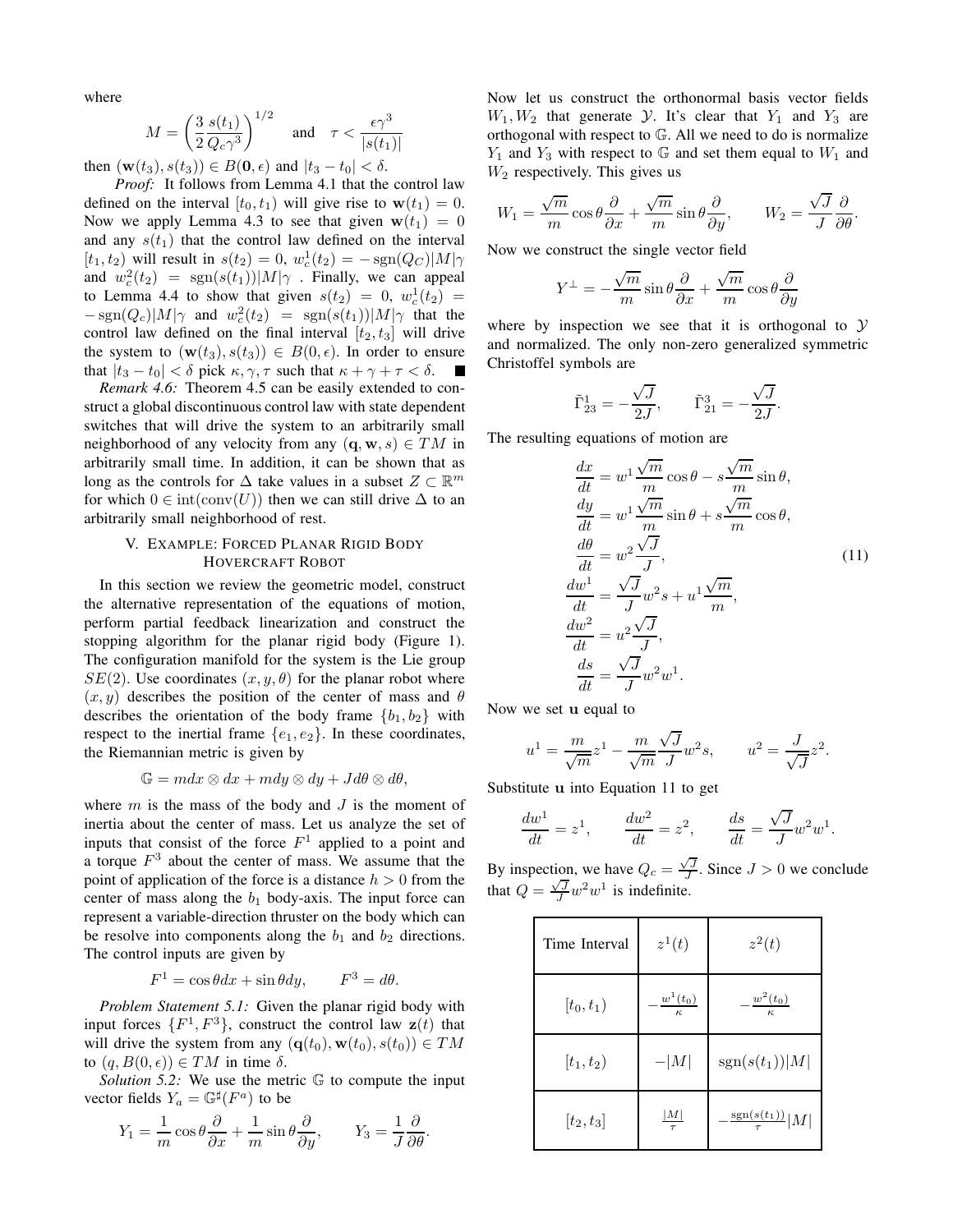where

$$
M = \left(\frac{3}{2}\frac{s(t_1)}{Q_c\gamma^3}\right)^{1/2} \quad \text{and} \quad \tau < \frac{\epsilon\gamma^3}{|s(t_1)|}
$$

then  $(\mathbf{w}(t_3), s(t_3)) \in B(\mathbf{0}, \epsilon)$  and  $|t_3 - t_0| < \delta$ .

*Proof:* It follows from Lemma 4.1 that the control law defined on the interval  $[t_0, t_1)$  will give rise to  $\mathbf{w}(t_1) = 0$ . Now we apply Lemma 4.3 to see that given  $w(t_1) = 0$ and any  $s(t_1)$  that the control law defined on the interval  $[t_1, t_2)$  will result in  $s(t_2) = 0$ ,  $w_c^1(t_2) = -\text{sgn}(Q_C)|M|\gamma$ and  $w_c^2(t_2) = \text{sgn}(s(t_1)) |M| \gamma$ . Finally, we can appeal to Lemma 4.4 to show that given  $s(t_2) = 0$ ,  $w_c^1(t_2) =$  $-\text{sgn}(Q_c)|M|\gamma$  and  $w_c^2(t_2) = \text{sgn}(s(t_1))|M|\gamma$  that the control law defined on the final interval  $[t_2, t_3]$  will drive the system to  $(\mathbf{w}(t_3), s(t_3)) \in B(0, \epsilon)$ . In order to ensure that  $|t_3 - t_0| < \delta$  pick  $\kappa, \gamma, \tau$  such that  $\kappa + \gamma + \tau < \delta$ .

*Remark 4.6:* Theorem 4.5 can be easily extended to construct a global discontinuous control law with state dependent switches that will drive the system to an arbitrarily small neighborhood of any velocity from any  $(q, w, s) \in TM$  in arbitrarily small time. In addition, it can be shown that as long as the controls for  $\Delta$  take values in a subset  $Z \subset \mathbb{R}^m$ for which  $0 \in \text{int}(\text{conv}(U))$  then we can still drive  $\Delta$  to an arbitrarily small neighborhood of rest.

# V. EXAMPLE: FORCED PLANAR RIGID BODY HOVERCRAFT ROBOT

In this section we review the geometric model, construct the alternative representation of the equations of motion, perform partial feedback linearization and construct the stopping algorithm for the planar rigid body (Figure 1). The configuration manifold for the system is the Lie group  $SE(2)$ . Use coordinates  $(x, y, \theta)$  for the planar robot where  $(x, y)$  describes the position of the center of mass and  $\theta$ describes the orientation of the body frame  ${b_1, b_2}$  with respect to the inertial frame  $\{e_1, e_2\}$ . In these coordinates, the Riemannian metric is given by

$$
\mathbb{G} = mdx \otimes dx + mdy \otimes dy + Jd\theta \otimes d\theta,
$$

where  $m$  is the mass of the body and  $J$  is the moment of inertia about the center of mass. Let us analyze the set of inputs that consist of the force  $F<sup>1</sup>$  applied to a point and a torque  $F<sup>3</sup>$  about the center of mass. We assume that the point of application of the force is a distance  $h > 0$  from the center of mass along the  $b_1$  body-axis. The input force can represent a variable-direction thruster on the body which can be resolve into components along the  $b_1$  and  $b_2$  directions. The control inputs are given by

$$
F^1 = \cos\theta dx + \sin\theta dy, \qquad F^3 = d\theta.
$$

*Problem Statement 5.1:* Given the planar rigid body with input forces  $\{F^1, F^3\}$ , construct the control law  $\mathbf{z}(t)$  that will drive the system from any  $(q(t_0), w(t_0), s(t_0)) \in TM$ to  $(q, B(0, \epsilon)) \in TM$  in time  $\delta$ .

*Solution 5.2:* We use the metric  $\mathbb{G}$  to compute the input vector fields  $Y_a = \mathbb{G}^{\sharp}(F^a)$  to be

$$
Y_1 = \frac{1}{m} \cos \theta \frac{\partial}{\partial x} + \frac{1}{m} \sin \theta \frac{\partial}{\partial y}, \qquad Y_3 = \frac{1}{J} \frac{\partial}{\partial \theta}.
$$

Now let us construct the orthonormal basis vector fields  $W_1, W_2$  that generate Y. It's clear that  $Y_1$  and  $Y_3$  are orthogonal with respect to G. All we need to do is normalize  $Y_1$  and  $Y_3$  with respect to  $\mathbb G$  and set them equal to  $W_1$  and  $W_2$  respectively. This gives us

$$
W_1 = \frac{\sqrt{m}}{m} \cos \theta \frac{\partial}{\partial x} + \frac{\sqrt{m}}{m} \sin \theta \frac{\partial}{\partial y}, \qquad W_2 = \frac{\sqrt{J}}{J} \frac{\partial}{\partial \theta}.
$$

Now we construct the single vector field

$$
Y^\perp=-\frac{\sqrt{m}}{m}\sin\theta\frac{\partial}{\partial x}+\frac{\sqrt{m}}{m}\cos\theta\frac{\partial}{\partial y}
$$

where by inspection we see that it is orthogonal to  $Y$ and normalized. The only non-zero generalized symmetric Christoffel symbols are

$$
\tilde{\Gamma}_{23}^1 = -\frac{\sqrt{J}}{2J}, \qquad \tilde{\Gamma}_{21}^3 = -\frac{\sqrt{J}}{2J}.
$$

The resulting equations of motion are

$$
\frac{dx}{dt} = w^1 \frac{\sqrt{m}}{m} \cos \theta - s \frac{\sqrt{m}}{m} \sin \theta,
$$
  
\n
$$
\frac{dy}{dt} = w^1 \frac{\sqrt{m}}{m} \sin \theta + s \frac{\sqrt{m}}{m} \cos \theta,
$$
  
\n
$$
\frac{d\theta}{dt} = w^2 \frac{\sqrt{J}}{J},
$$
  
\n
$$
\frac{dw^1}{dt} = \frac{\sqrt{J}}{J} w^2 s + u^1 \frac{\sqrt{m}}{m},
$$
  
\n
$$
\frac{dw^2}{dt} = u^2 \frac{\sqrt{J}}{J},
$$
  
\n
$$
\frac{ds}{dt} = \frac{\sqrt{J}}{J} w^2 w^1.
$$
  
\n(11)

Now we set u equal to

 $\frac{c}{1}$ 

$$
u^{1} = \frac{m}{\sqrt{m}}z^{1} - \frac{m}{\sqrt{m}}\frac{\sqrt{J}}{J}w^{2}s, \qquad u^{2} = \frac{J}{\sqrt{J}}z^{2}.
$$

Substitute u into Equation 11 to get

$$
\frac{dw^1}{dt} = z^1, \qquad \frac{dw^2}{dt} = z^2, \qquad \frac{ds}{dt} = \frac{\sqrt{J}}{J}w^2w^1.
$$

By inspection, we have  $Q_c = \frac{\sqrt{J}}{J}$ . Since  $J > 0$  we conclude that  $Q = \frac{\sqrt{J}}{J} w^2 w^1$  is indefinite.

| Time Interval | $z^1(t)$                   | $z^2(t)$                             |
|---------------|----------------------------|--------------------------------------|
| $[t_0, t_1)$  | $w^{1}(t_{0})$<br>$\kappa$ | $w^2(t_0)$<br>к.                     |
| $[t_1, t_2)$  | $- M $                     | $sgn(s(t_1)) M $                     |
| $[t_2, t_3]$  | M <br>$\tau$               | $\frac{\text{sgn}(s(t_1))}{\tau} M $ |